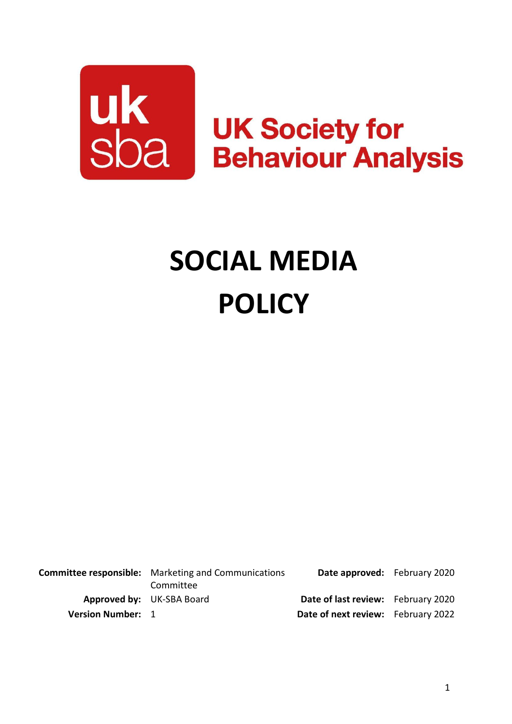

# **SOCIAL MEDIA POLICY**

**Committee responsible:** Marketing and Communications Committee **Date approved:** February 2020 **Approved by:** UK-SBA Board **Date of last review:** February 2020 **Version Number:** 1 **Date of next review:** February 2022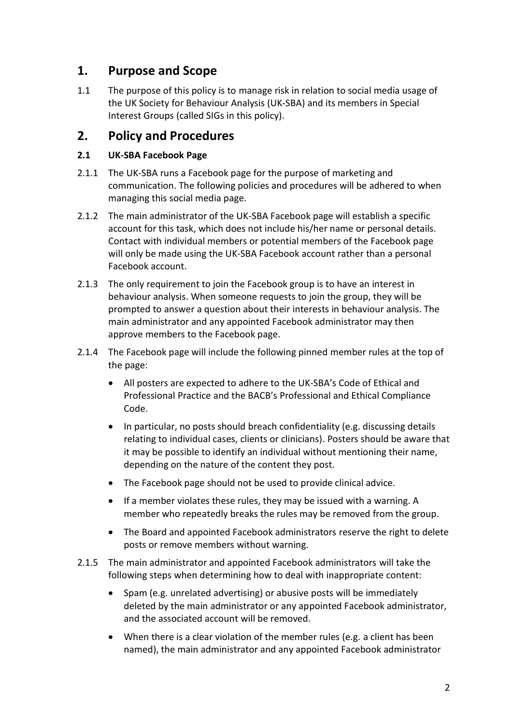## **1. Purpose and Scope**

1.1 The purpose of this policy is to manage risk in relation to social media usage of the UK Society for Behaviour Analysis (UK-SBA) and its members in Special Interest Groups (called SIGs in this policy).

## **2. Policy and Procedures**

### **2.1 UK-SBA Facebook Page**

- 2.1.1 The UK-SBA runs a Facebook page for the purpose of marketing and communication. The following policies and procedures will be adhered to when managing this social media page.
- 2.1.2 The main administrator of the UK-SBA Facebook page will establish a specific account for this task, which does not include his/her name or personal details. Contact with individual members or potential members of the Facebook page will only be made using the UK-SBA Facebook account rather than a personal Facebook account.
- 2.1.3 The only requirement to join the Facebook group is to have an interest in behaviour analysis. When someone requests to join the group, they will be prompted to answer a question about their interests in behaviour analysis. The main administrator and any appointed Facebook administrator may then approve members to the Facebook page.
- 2.1.4 The Facebook page will include the following pinned member rules at the top of the page:
	- All posters are expected to adhere to the UK-SBA's Code of Ethical and Professional Practice and the BACB's Professional and Ethical Compliance Code.
	- In particular, no posts should breach confidentiality (e.g. discussing details relating to individual cases, clients or clinicians). Posters should be aware that it may be possible to identify an individual without mentioning their name, depending on the nature of the content they post.
	- The Facebook page should not be used to provide clinical advice.
	- If a member violates these rules, they may be issued with a warning. A member who repeatedly breaks the rules may be removed from the group.
	- The Board and appointed Facebook administrators reserve the right to delete posts or remove members without warning.
- 2.1.5 The main administrator and appointed Facebook administrators will take the following steps when determining how to deal with inappropriate content:
	- Spam (e.g. unrelated advertising) or abusive posts will be immediately deleted by the main administrator or any appointed Facebook administrator, and the associated account will be removed.
	- When there is a clear violation of the member rules (e.g. a client has been named), the main administrator and any appointed Facebook administrator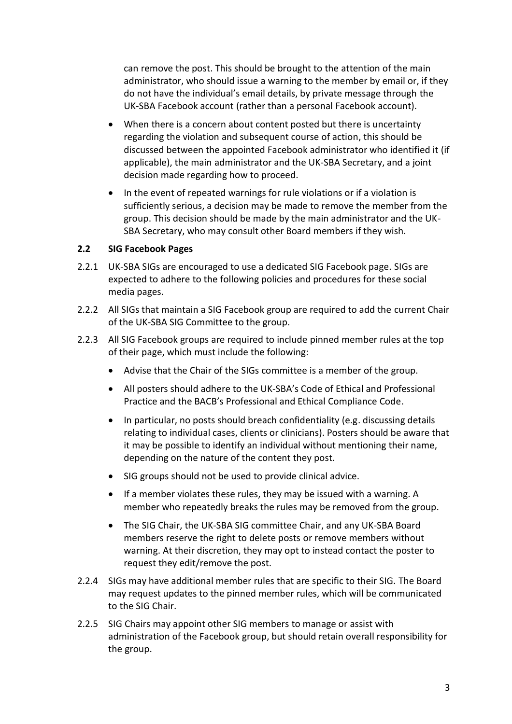can remove the post. This should be brought to the attention of the main administrator, who should issue a warning to the member by email or, if they do not have the individual's email details, by private message through the UK-SBA Facebook account (rather than a personal Facebook account).

- When there is a concern about content posted but there is uncertainty regarding the violation and subsequent course of action, this should be discussed between the appointed Facebook administrator who identified it (if applicable), the main administrator and the UK-SBA Secretary, and a joint decision made regarding how to proceed.
- In the event of repeated warnings for rule violations or if a violation is sufficiently serious, a decision may be made to remove the member from the group. This decision should be made by the main administrator and the UK-SBA Secretary, who may consult other Board members if they wish.

#### **2.2 SIG Facebook Pages**

- 2.2.1 UK-SBA SIGs are encouraged to use a dedicated SIG Facebook page. SIGs are expected to adhere to the following policies and procedures for these social media pages.
- 2.2.2 All SIGs that maintain a SIG Facebook group are required to add the current Chair of the UK-SBA SIG Committee to the group.
- 2.2.3 All SIG Facebook groups are required to include pinned member rules at the top of their page, which must include the following:
	- Advise that the Chair of the SIGs committee is a member of the group.
	- All posters should adhere to the UK-SBA's Code of Ethical and Professional Practice and the BACB's Professional and Ethical Compliance Code.
	- In particular, no posts should breach confidentiality (e.g. discussing details relating to individual cases, clients or clinicians). Posters should be aware that it may be possible to identify an individual without mentioning their name, depending on the nature of the content they post.
	- SIG groups should not be used to provide clinical advice.
	- If a member violates these rules, they may be issued with a warning. A member who repeatedly breaks the rules may be removed from the group.
	- The SIG Chair, the UK-SBA SIG committee Chair, and any UK-SBA Board members reserve the right to delete posts or remove members without warning. At their discretion, they may opt to instead contact the poster to request they edit/remove the post.
- 2.2.4 SIGs may have additional member rules that are specific to their SIG. The Board may request updates to the pinned member rules, which will be communicated to the SIG Chair.
- 2.2.5 SIG Chairs may appoint other SIG members to manage or assist with administration of the Facebook group, but should retain overall responsibility for the group.